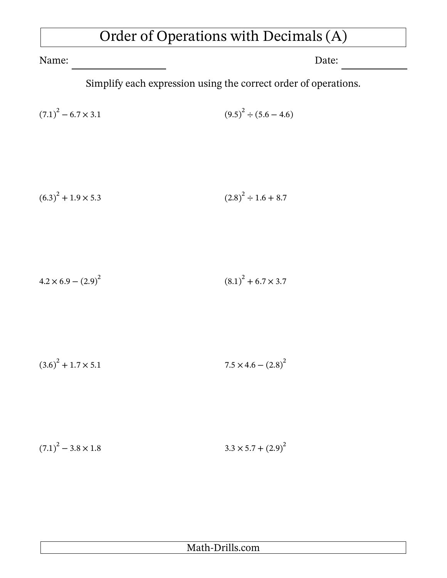## Order of Operations with Decimals (A)

Name: Date:

Simplify each expression using the correct order of operations.

$$
(7.1)^{2} - 6.7 \times 3.1 \tag{9.5}^{2} \div (5.6 - 4.6)
$$

$$
(6.3)^{2} + 1.9 \times 5.3 \tag{2.8}^2 \div 1.6 + 8.7
$$

$$
4.2 \times 6.9 - (2.9)^2 \tag{8.1}^2 + 6.7 \times 3.7
$$

$$
(3.6)^{2} + 1.7 \times 5.1 \qquad 7.5 \times 4.6 - (2.8)^{2}
$$

 $(7.1)^2$  $-3.8 \times 1.8$   $3.3 \times 5.7 + (2.9)^2$